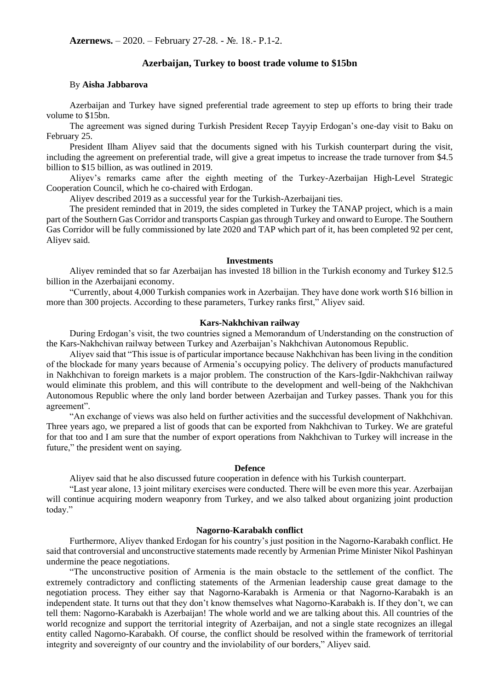# **Azerbaijan, Turkey to boost trade volume to \$15bn**

### By **Aisha Jabbarova**

Azerbaijan and Turkey have signed preferential trade agreement to step up efforts to bring their trade volume to \$15bn.

The agreement was signed during Turkish President Recep Tayyip Erdogan's one-day visit to Baku on February 25.

President Ilham Aliyev said that the documents signed with his Turkish counterpart during the visit, including the agreement on preferential trade, will give a great impetus to increase the trade turnover from \$4.5 billion to \$15 billion, as was outlined in 2019.

Aliyev's remarks came after the eighth meeting of the Turkey-Azerbaijan High-Level Strategic Cooperation Council, which he co-chaired with Erdogan.

Aliyev described 2019 as a successful year for the Turkish-Azerbaijani ties.

The president reminded that in 2019, the sides completed in Turkey the TANAP project, which is a main part of the Southern Gas Corridor and transports Caspian gas through Turkey and onward to Europe. The Southern Gas Corridor will be fully commissioned by late 2020 and TAP which part of it, has been completed 92 per cent, Aliyev said.

#### **Investments**

Aliyev reminded that so far Azerbaijan has invested 18 billion in the Turkish economy and Turkey \$12.5 billion in the Azerbaijani economy.

"Currently, about 4,000 Turkish companies work in Azerbaijan. They have done work worth \$16 billion in more than 300 projects. According to these parameters, Turkey ranks first," Aliyev said.

# **Kars-Nakhchivan railway**

During Erdogan's visit, the two countries signed a Memorandum of Understanding on the construction of the Kars-Nakhchivan railway between Turkey and Azerbaijan's Nakhchivan Autonomous Republic.

Aliyev said that "This issue is of particular importance because Nakhchivan has been living in the condition of the blockade for many years because of Armenia's occupying policy. The delivery of products manufactured in Nakhchivan to foreign markets is a major problem. The construction of the Kars-Igdir-Nakhchivan railway would eliminate this problem, and this will contribute to the development and well-being of the Nakhchivan Autonomous Republic where the only land border between Azerbaijan and Turkey passes. Thank you for this agreement".

"An exchange of views was also held on further activities and the successful development of Nakhchivan. Three years ago, we prepared a list of goods that can be exported from Nakhchivan to Turkey. We are grateful for that too and I am sure that the number of export operations from Nakhchivan to Turkey will increase in the future," the president went on saying.

#### **Defence**

Aliyev said that he also discussed future cooperation in defence with his Turkish counterpart.

"Last year alone, 13 joint military exercises were conducted. There will be even more this year. Azerbaijan will continue acquiring modern weaponry from Turkey, and we also talked about organizing joint production today."

## **Nagorno-Karabakh conflict**

Furthermore, Aliyev thanked Erdogan for his country's just position in the Nagorno-Karabakh conflict. He said that controversial and unconstructive statements made recently by Armenian Prime Minister Nikol Pashinyan undermine the peace negotiations.

"The unconstructive position of Armenia is the main obstacle to the settlement of the conflict. The extremely contradictory and conflicting statements of the Armenian leadership cause great damage to the negotiation process. They either say that Nagorno-Karabakh is Armenia or that Nagorno-Karabakh is an independent state. It turns out that they don't know themselves what Nagorno-Karabakh is. If they don't, we can tell them: Nagorno-Karabakh is Azerbaijan! The whole world and we are talking about this. All countries of the world recognize and support the territorial integrity of Azerbaijan, and not a single state recognizes an illegal entity called Nagorno-Karabakh. Of course, the conflict should be resolved within the framework of territorial integrity and sovereignty of our country and the inviolability of our borders," Aliyev said.